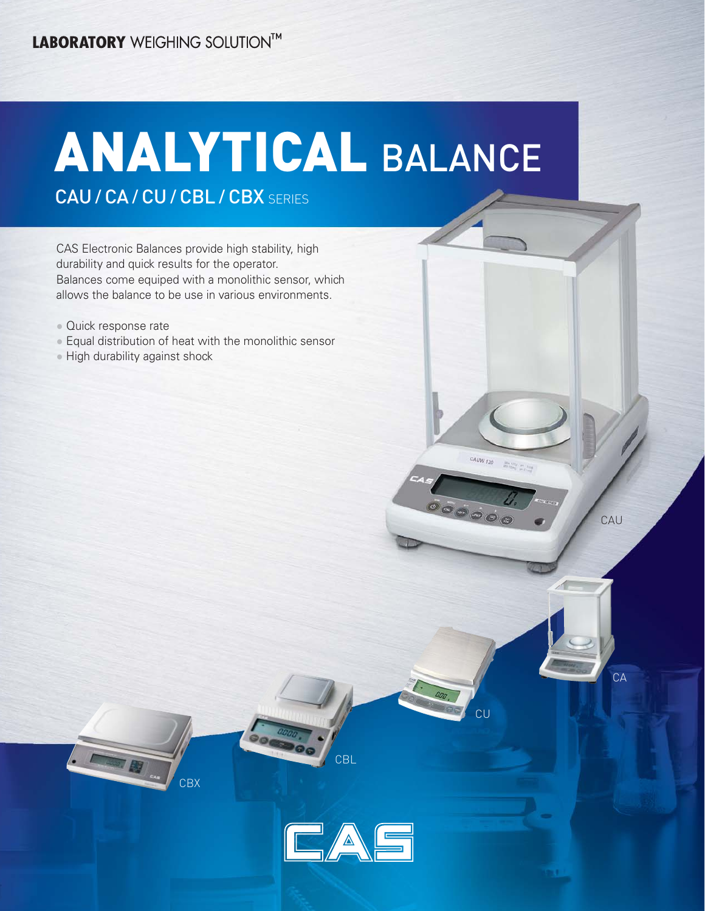# ANALYTICAL BALANCE

CAU / CA / CU / CBL / CBX SERIES

CAS Electronic Balances provide high stability, high durability and quick results for the operator. Balances come equiped with a monolithic sensor, which allows the balance to be use in various environments.

- Quick response rate
- Equal distribution of heat with the monolithic sensor
- High durability against shock





**CBL** 

CU

CAUW 120

00000

 $\frac{\partial m_{\rm DM}}{\partial \phi} \frac{\partial m_{\rm M}}{\partial \phi} = \frac{1}{1+\rho} \frac{1}{1+\rho}$ 

CAU

 $\Delta$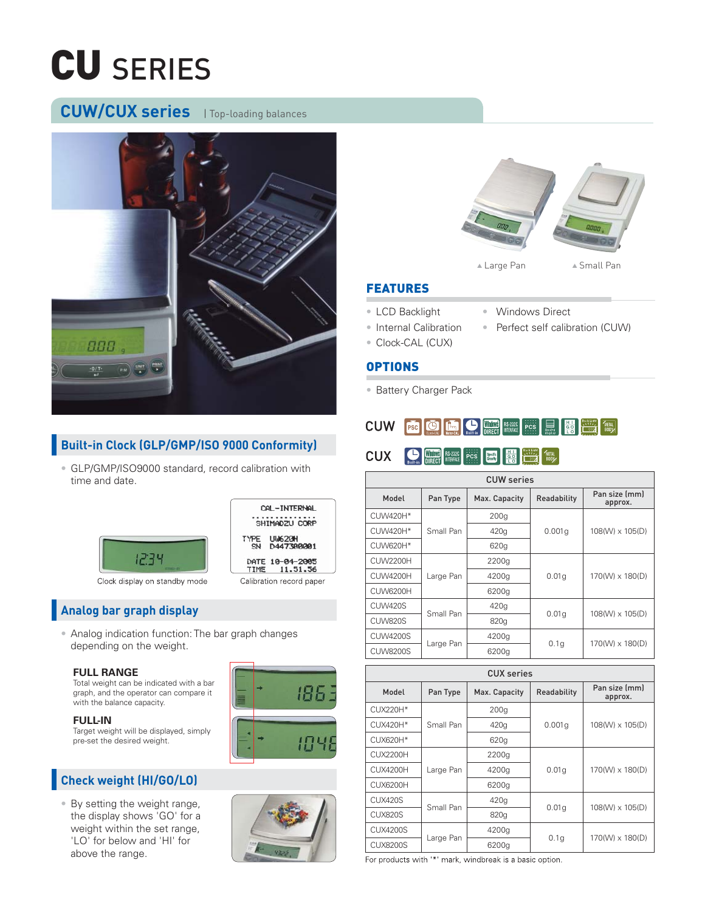# CU SERIES

### **CUW/CUX series** | Top-loading balances



### **Built-in Clock (GLP/GMP/ISO 9000 Conformity)**

• GLP/GMP/ISO9000 standard, record calibration with time and date.



Clock display on standby mode



### **Analog bar graph display**

• Analog indication function: The bar graph changes depending on the weight.

#### **FULL RANGE**

Total weight can be indicated with a bar graph, and the operator can compare it with the balance capacity.

#### **FULL-IN**

Target weight will be displayed, simply pre-set the desired weight.

### **Check weight (HI/GO/LO)**

• By setting the weight range, the display shows 'GO' for a weight within the set range, 'LO' for below and 'HI' for above the range.







#### FEATURES

- LCD Backlight Windows Direct
- Internal Calibration Perfect self calibration (CUW)
- Clock-CAL (CUX)

#### OPTIONS

• Battery Charger Pack

| ${\color{red}\textbf{CUW}}\quad \overline{\color{red}\textbf{P5c}}\quad \overline{\color{red}\textbf{G0}}\quad \overline{\color{red}\textbf{G0}}\quad \overline{\color{red}\textbf{G0}}\quad \overline{\color{red}\textbf{G0}}\quad \overline{\color{red}\textbf{G0}}\quad \overline{\color{red}\textbf{G0}}\quad \overline{\color{red}\textbf{G0}}\quad \overline{\color{red}\textbf{G0}}\quad \overline{\color{red}\textbf{G0}}\quad \overline{\color{red}\textbf{G0}}\quad \overline{\color{red}\textbf{G0}}\quad \overline{\color{red}\textbf{G0$ |
|-------------------------------------------------------------------------------------------------------------------------------------------------------------------------------------------------------------------------------------------------------------------------------------------------------------------------------------------------------------------------------------------------------------------------------------------------------------------------------------------------------------------------------------------------------|
| CUX SUITED TREAT RESEARCH PICS TREAT RESEARCH TREAT (SOFT DAMAGED)                                                                                                                                                                                                                                                                                                                                                                                                                                                                                    |

| <b>CUW</b> series |           |                  |             |                          |  |  |
|-------------------|-----------|------------------|-------------|--------------------------|--|--|
| Model<br>Pan Type |           | Max. Capacity    | Readability | Pan size (mm)<br>approx. |  |  |
| CUW420H*          |           | 200 <sub>g</sub> |             | 108(W) x 105(D)          |  |  |
| CUW420H*          | Small Pan | 420g             | 0.001q      |                          |  |  |
| CUW620H*          |           | 620g             |             |                          |  |  |
| CUW2200H          |           | 2200g            | 0.01q       |                          |  |  |
| CUW4200H          | Large Pan | 4200g            |             | 170(W) x 180(D)          |  |  |
| CUW6200H          |           | 6200g            |             |                          |  |  |
| CUW420S           | Small Pan | 420g             |             | 108(W) x 105(D)          |  |  |
| <b>CUW820S</b>    |           | 820g             | 0.01q       |                          |  |  |
| <b>CUW4200S</b>   |           | 4200g            |             | 170(W) x 180(D)          |  |  |
| <b>CUW8200S</b>   | Large Pan | 6200g            | 0.1q        |                          |  |  |

| CUX series        |           |               |             |                          |  |  |
|-------------------|-----------|---------------|-------------|--------------------------|--|--|
| Model<br>Pan Type |           | Max. Capacity | Readability | Pan size (mm)<br>approx. |  |  |
| CUX220H*          |           | 200q          |             |                          |  |  |
| CUX420H*          | Small Pan | 420g          | 0.001q      | 108(W) x 105(D)          |  |  |
| <b>CUX620H*</b>   |           | 620g          |             |                          |  |  |
| CUX2200H          |           | 2200g         | 0.01q       | 170(W) x 180(D)          |  |  |
| CUX4200H          | Large Pan | 4200g         |             |                          |  |  |
| CUX6200H          |           | 6200g         |             |                          |  |  |
| CUX420S           | Small Pan | 420g          |             | 108(W) x 105(D)          |  |  |
| CUX820S           |           | 820g          | 0.01q       |                          |  |  |
| <b>CUX4200S</b>   |           | 4200g         |             | $170(W) \times 180(D)$   |  |  |
| <b>CUX8200S</b>   | Large Pan | 6200g         | 0.1q        |                          |  |  |

For products with '\*' mark, windbreak is a basic option.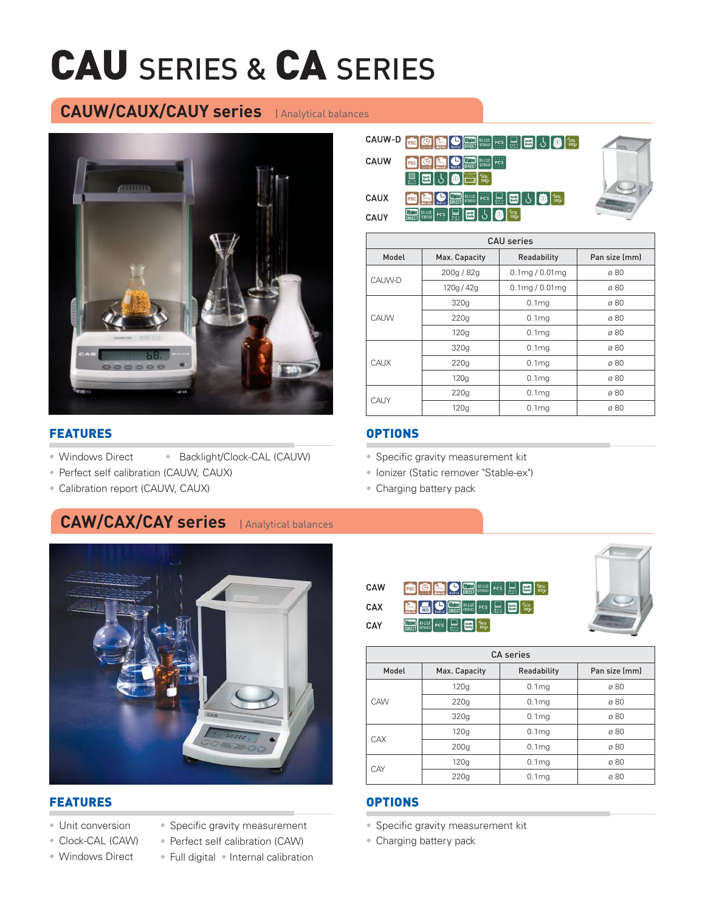# CAU SERIES & CA SERIES

### **CAUW/CAUX/CAUY series** | Analytical balances



#### FEATURES

- Windows Direct Backlight/Clock-CAL (CAUW)
- Perfect self calibration (CAUW, CAUX)
- Calibration report (CAUW, CAUX)

# **CAW/CAX/CAY series** | Analytical balances



#### FEATURES

- Unit conversion
- Clock-CAL (CAW)
- Windows Direct
- Specific gravity measurement
- Perfect self calibration (CAW)
- Full digital Internal calibration

| 8 5 0 m                                                                                                                |
|------------------------------------------------------------------------------------------------------------------------|
|                                                                                                                        |
|                                                                                                                        |
| <b>FOLLO DE LA DE LA COLLEGACIÓN DE LA COLLEGACIÓN DE LA COLLEGACIÓN DE LA COLLEGACIÓN DE LA COLLEGACIÓN DE LA COL</b> |
|                                                                                                                        |
|                                                                                                                        |



| <b>CAU</b> series |               |                      |               |  |  |  |  |
|-------------------|---------------|----------------------|---------------|--|--|--|--|
| Model             | Max. Capacity | Readability          | Pan size (mm) |  |  |  |  |
| CAUW-D            | 200g / 82g    | $0.1$ mg / $0.01$ mg | ø 80          |  |  |  |  |
|                   | 120g/42g      | $0.1$ mg / $0.01$ mg | ø 80          |  |  |  |  |
|                   | 320q          | 0.1 <sub>mg</sub>    | ø 80          |  |  |  |  |
| CAUW              | 220g          | 0.1 <sub>mg</sub>    | ø 80          |  |  |  |  |
|                   | 120q          | 0.1 <sub>mg</sub>    | ø 80          |  |  |  |  |
|                   | 320g          | 0.1 <sub>mq</sub>    | ø 80          |  |  |  |  |
| CAUX              | 220q          | 0.1 <sub>mq</sub>    | ø 80          |  |  |  |  |
|                   | 120q          | 0.1 <sub>mq</sub>    | ø 80          |  |  |  |  |
| CAUY              | 220q          | 0.1 <sub>mq</sub>    | ø 80          |  |  |  |  |
|                   | 120g          | 0.1 <sub>mq</sub>    | ø 80          |  |  |  |  |

#### **OPTIONS**

- Specific gravity measurement kit
- Ionizer (Static remover "Stable-ex")
- Charging battery pack





| <b>CA</b> series                                       |      |                   |      |  |  |  |  |
|--------------------------------------------------------|------|-------------------|------|--|--|--|--|
| Model<br>Pan size (mm)<br>Readability<br>Max. Capacity |      |                   |      |  |  |  |  |
|                                                        | 120g | 0.1 <sub>mg</sub> | ø 80 |  |  |  |  |
| CAW                                                    | 220g | 0.1 <sub>mq</sub> | ø 80 |  |  |  |  |
|                                                        | 320g | 0.1 <sub>mq</sub> | ø 80 |  |  |  |  |
| CAX                                                    | 120q | 0.1 <sub>mq</sub> | ø 80 |  |  |  |  |
|                                                        | 200q | 0.1 <sub>mq</sub> | ø 80 |  |  |  |  |
| CAY                                                    | 120q | 0.1 <sub>mg</sub> | ø 80 |  |  |  |  |
|                                                        | 220q | 0.1 <sub>mq</sub> | ø 80 |  |  |  |  |

#### OPTIONS

- Specific gravity measurement kit
- Charging battery pack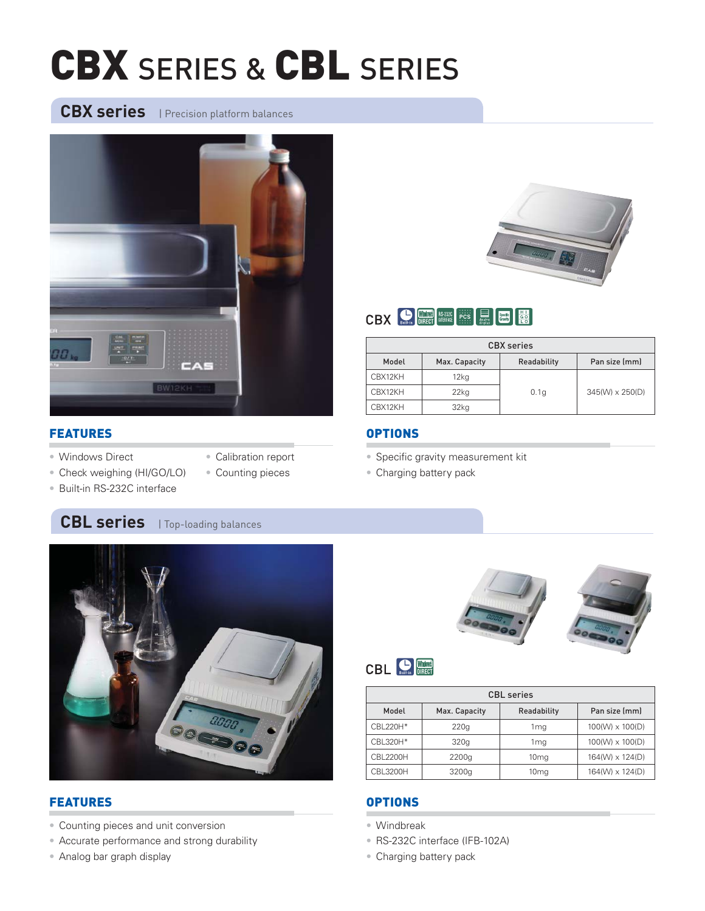# CBX SERIES & CBL SERIES

CBX series | Precision platform balances



# CBX DIRECT MIERRE PCS REEL SEEMS C

| <b>CBX</b> series                                      |         |      |                 |  |  |  |
|--------------------------------------------------------|---------|------|-----------------|--|--|--|
| Pan size (mm)<br>Model<br>Max. Capacity<br>Readability |         |      |                 |  |  |  |
| CBX12KH                                                | $12k$ q |      |                 |  |  |  |
| CBX12KH                                                | 22kg    | 0.1q | 345(W) x 250(D) |  |  |  |
| CBX12KH                                                | 32kg    |      |                 |  |  |  |

#### FEATURES

- Windows Direct
- Calibration report
- Check weighing (HI/GO/LO)
- Counting pieces
- Built-in RS-232C interface

### **CBL series** | Top-loading balances



### FEATURES

- Counting pieces and unit conversion
- Accurate performance and strong durability
- Analog bar graph display

### **OPTIONS**

- Specific gravity measurement kit
- Charging battery pack



# **CBL CBL** DIRECT

| <b>CBL</b> series                                      |       |                  |                 |  |  |  |  |
|--------------------------------------------------------|-------|------------------|-----------------|--|--|--|--|
| Pan size (mm)<br>Readability<br>Model<br>Max. Capacity |       |                  |                 |  |  |  |  |
| CBL220H*                                               | 220q  | 1 ma             | 100(W) x 100(D) |  |  |  |  |
| CBL320H*                                               | 320g  | 1 mg             | 100(W) x 100(D) |  |  |  |  |
| <b>CBL2200H</b>                                        | 2200g | 10 <sub>mg</sub> | 164(W) x 124(D) |  |  |  |  |
| CBL3200H                                               | 3200g | 10 <sub>mg</sub> | 164(W) x 124(D) |  |  |  |  |

#### **OPTIONS**

- Windbreak
- RS-232C interface (IFB-102A)
- Charging battery pack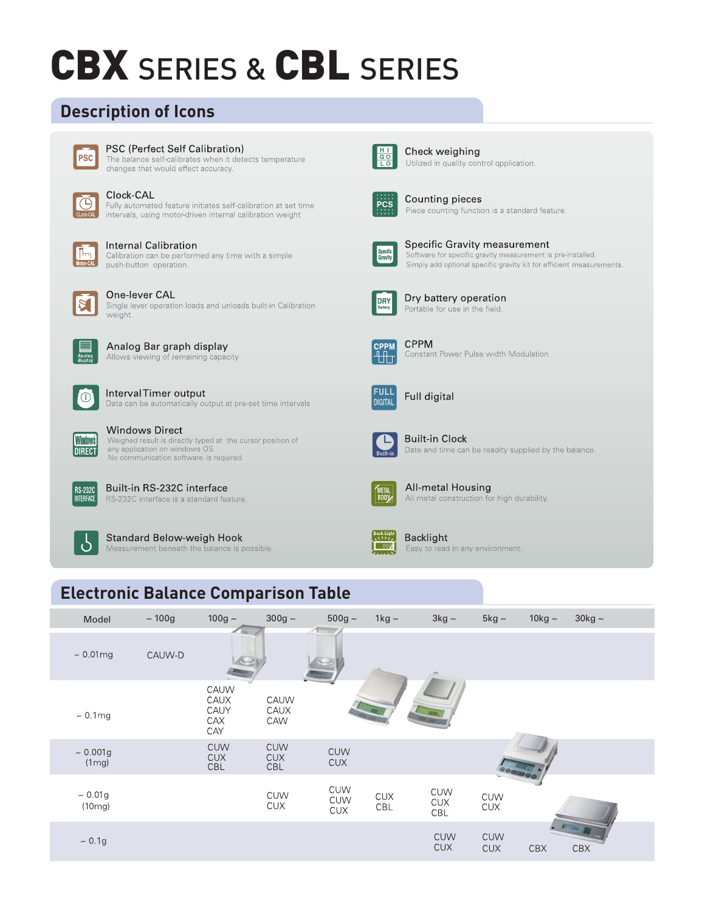# **CBX SERIES & CBL SERIES**

## **Description of Icons**



#### PSC (Perfect Self Calibration)

The balance self-calibrates when it detects temperature changes that would effect accuracy.



#### Clock-CAL

Fully automated feature initiates self-calibration at set time intervals, using motor-driven internal calibration weight



#### **Internal Calibration**

Calibration can be performed any time with a simple push-button operation.



#### One-lever CAL

Single lever operation loads and unloads built-in Calibration weight.



Analog Bar graph display Allows viewing of remaining capacity



#### IntervalTimer output Data can be automatically output at pre-set time intervals



**Windows Direct** Weighed result is directly typed at the cursor position of any application on windows OS No communication software is required.



Built-in RS-232C interface RS-232C interface is a standard feature.



**Standard Below-weigh Hook** Measurement beneath the balance is possible.



Check weighing Utilized in quality control qpplication.



Counting pieces Piece counting function is a standard feature.



Specific Gravity measurement Software for specific gravity measurement is pre-installed. Simply add optional specific gravity kit for efficient measurements.



Dry battery operation Portable for use in the field.



**CPPM** Constant Power Pulse width Modulation



Full digital



**Built-in Clock** Date and time can be readity supplied by the balance.



All-metal Housing All metal construction for high durability.



**Backlight** 

# **Electronic Balance Comparison Table**

| Model                   | $\sim$ 100g | $100g \sim$                        | $300g \sim$                            | $500g \sim$                            | 1 $kg \sim$           | $3kg \sim$               | $5kg \sim$               | 10 $kg \sim$ | $30kg \sim$ |
|-------------------------|-------------|------------------------------------|----------------------------------------|----------------------------------------|-----------------------|--------------------------|--------------------------|--------------|-------------|
| $\sim 0.01$ mg          | CAUW-D      | <b>Record</b>                      |                                        |                                        |                       |                          |                          |              |             |
| $\sim 0.1$ mg           |             | CAUW<br>CAUX<br>CAUY<br>CAX<br>CAY | CAUW<br>CAUX<br>CAW                    |                                        |                       |                          |                          |              |             |
| $\sim 0.001$ g<br>(1mg) |             | <b>CUW</b><br><b>CUX</b><br>CBL    | <b>CUW</b><br><b>CUX</b><br><b>CBL</b> | <b>CUW</b><br><b>CUX</b>               |                       |                          |                          |              |             |
| ~10.01g<br>(10mg)       |             |                                    | <b>CUW</b><br><b>CUX</b>               | <b>CUW</b><br><b>CUW</b><br><b>CUX</b> | $\mathsf{CUX}$<br>CBL | <b>CUW</b><br>CUX<br>CBL | CUW<br>$\mathsf{CUX}$    |              |             |
| ~10.1g                  |             |                                    |                                        |                                        |                       | <b>CUW</b><br><b>CUX</b> | <b>CUW</b><br><b>CUX</b> | <b>CBX</b>   | CBX         |